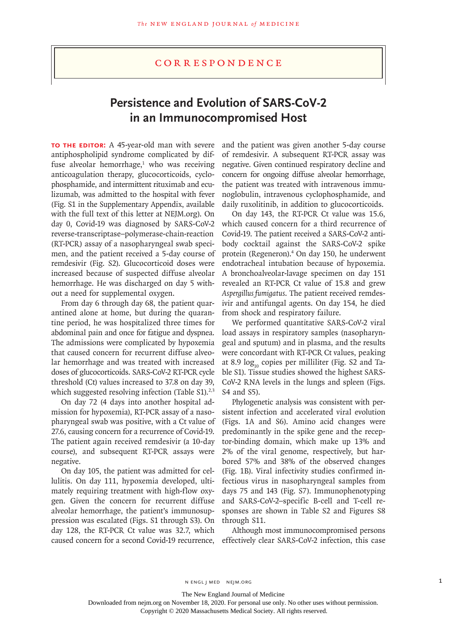# **Persistence and Evolution of SARS-CoV-2 in an Immunocompromised Host**

**To the Editor:** A 45-year-old man with severe antiphospholipid syndrome complicated by diffuse alveolar hemorrhage,<sup>1</sup> who was receiving anticoagulation therapy, glucocorticoids, cyclophosphamide, and intermittent rituximab and eculizumab, was admitted to the hospital with fever (Fig. S1 in the Supplementary Appendix, available with the full text of this letter at NEJM.org). On day 0, Covid-19 was diagnosed by SARS-CoV-2 reverse-transcriptase–polymerase-chain-reaction (RT-PCR) assay of a nasopharyngeal swab specimen, and the patient received a 5-day course of remdesivir (Fig. S2). Glucocorticoid doses were increased because of suspected diffuse alveolar hemorrhage. He was discharged on day 5 without a need for supplemental oxygen.

From day 6 through day 68, the patient quarantined alone at home, but during the quarantine period, he was hospitalized three times for abdominal pain and once for fatigue and dyspnea. The admissions were complicated by hypoxemia that caused concern for recurrent diffuse alveolar hemorrhage and was treated with increased doses of glucocorticoids. SARS-CoV-2 RT-PCR cycle threshold (Ct) values increased to 37.8 on day 39, which suggested resolving infection (Table  $S1$ ).<sup>2,3</sup>

On day 72 (4 days into another hospital admission for hypoxemia), RT-PCR assay of a nasopharyngeal swab was positive, with a Ct value of 27.6, causing concern for a recurrence of Covid-19. The patient again received remdesivir (a 10-day course), and subsequent RT-PCR assays were negative.

On day 105, the patient was admitted for cellulitis. On day 111, hypoxemia developed, ultimately requiring treatment with high-flow oxygen. Given the concern for recurrent diffuse alveolar hemorrhage, the patient's immunosuppression was escalated (Figs. S1 through S3). On day 128, the RT-PCR Ct value was 32.7, which caused concern for a second Covid-19 recurrence, and the patient was given another 5-day course of remdesivir. A subsequent RT-PCR assay was negative. Given continued respiratory decline and concern for ongoing diffuse alveolar hemorrhage, the patient was treated with intravenous immunoglobulin, intravenous cyclophosphamide, and daily ruxolitinib, in addition to glucocorticoids.

On day 143, the RT-PCR Ct value was 15.6, which caused concern for a third recurrence of Covid-19. The patient received a SARS-CoV-2 antibody cocktail against the SARS-CoV-2 spike protein (Regeneron).4 On day 150, he underwent endotracheal intubation because of hypoxemia. A bronchoalveolar-lavage specimen on day 151 revealed an RT-PCR Ct value of 15.8 and grew *Aspergillus fumigatus*. The patient received remdesivir and antifungal agents. On day 154, he died from shock and respiratory failure.

We performed quantitative SARS-CoV-2 viral load assays in respiratory samples (nasopharyngeal and sputum) and in plasma, and the results were concordant with RT-PCR Ct values, peaking at 8.9  $log_{10}$  copies per milliliter (Fig. S2 and Table S1). Tissue studies showed the highest SARS-CoV-2 RNA levels in the lungs and spleen (Figs. S4 and S5).

Phylogenetic analysis was consistent with persistent infection and accelerated viral evolution (Figs. 1A and S6). Amino acid changes were predominantly in the spike gene and the receptor-binding domain, which make up 13% and 2% of the viral genome, respectively, but harbored 57% and 38% of the observed changes (Fig. 1B). Viral infectivity studies confirmed infectious virus in nasopharyngeal samples from days 75 and 143 (Fig. S7). Immunophenotyping and SARS-CoV-2–specific B-cell and T-cell responses are shown in Table S2 and Figures S8 through S11.

Although most immunocompromised persons effectively clear SARS-CoV-2 infection, this case

N ENGL J MED NEJM.ORG 1

The New England Journal of Medicine

Downloaded from nejm.org on November 18, 2020. For personal use only. No other uses without permission.

Copyright © 2020 Massachusetts Medical Society. All rights reserved.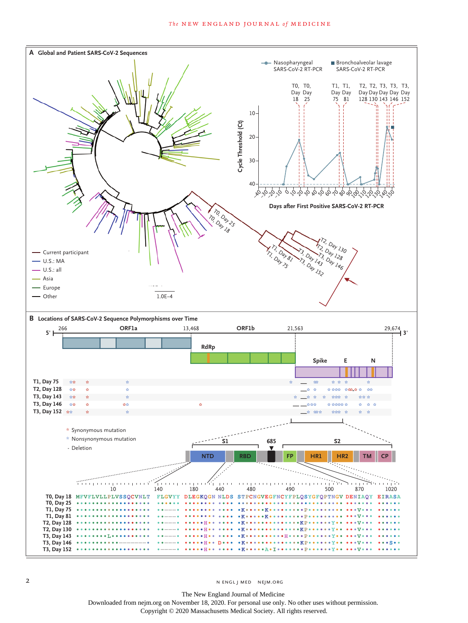

The New England Journal of Medicine Downloaded from nejm.org on November 18, 2020. For personal use only. No other uses without permission. Copyright © 2020 Massachusetts Medical Society. All rights reserved.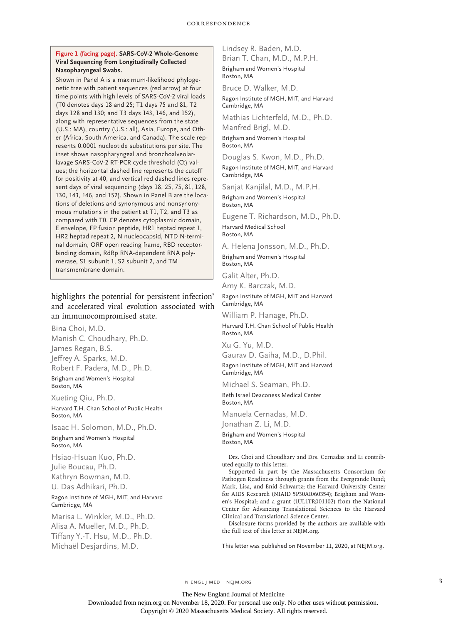### **Figure 1 (facing page). SARS-CoV-2 Whole-Genome Viral Sequencing from Longitudinally Collected Nasopharyngeal Swabs.**

Shown in Panel A is a maximum-likelihood phylogenetic tree with patient sequences (red arrow) at four time points with high levels of SARS-CoV-2 viral loads (T0 denotes days 18 and 25; T1 days 75 and 81; T2 days 128 and 130; and T3 days 143, 146, and 152), along with representative sequences from the state (U.S.: MA), country (U.S.: all), Asia, Europe, and Other (Africa, South America, and Canada). The scale represents 0.0001 nucleotide substitutions per site. The inset shows nasopharyngeal and bronchoalveolarlavage SARS-CoV-2 RT-PCR cycle threshold (Ct) values; the horizontal dashed line represents the cutoff for positivity at 40, and vertical red dashed lines represent days of viral sequencing (days 18, 25, 75, 81, 128, 130, 143, 146, and 152). Shown in Panel B are the locations of deletions and synonymous and nonsynonymous mutations in the patient at T1, T2, and T3 as compared with T0. CP denotes cytoplasmic domain, E envelope, FP fusion peptide, HR1 heptad repeat 1, HR2 heptad repeat 2, N nucleocapsid, NTD N-terminal domain, ORF open reading frame, RBD receptorbinding domain, RdRp RNA-dependent RNA polymerase, S1 subunit 1, S2 subunit 2, and TM transmembrane domain.

highlights the potential for persistent infection<sup>5</sup> and accelerated viral evolution associated with an immunocompromised state.

Bina Choi, M.D. Manish C. Choudhary, Ph.D. James Regan, B.S. Jeffrey A. Sparks, M.D. Robert F. Padera, M.D., Ph.D. Brigham and Women's Hospital Boston, MA

Xueting Qiu, Ph.D.

Harvard T.H. Chan School of Public Health Boston, MA

Isaac H. Solomon, M.D., Ph.D. Brigham and Women's Hospital Boston, MA

Hsiao‑Hsuan Kuo, Ph.D. Julie Boucau, Ph.D. Kathryn Bowman, M.D. U. Das Adhikari, Ph.D.

#### Ragon Institute of MGH, MIT, and Harvard Cambridge, MA

Marisa L. Winkler, M.D., Ph.D. Alisa A. Mueller, M.D., Ph.D. Tiffany Y.‑T. Hsu, M.D., Ph.D. Michaël Desjardins, M.D.

Lindsey R. Baden, M.D. Brian T. Chan, M.D., M.P.H. Brigham and Women's Hospital Boston, MA

Bruce D. Walker, M.D. Ragon Institute of MGH, MIT, and Harvard

Cambridge, MA

Mathias Lichterfeld, M.D., Ph.D. Manfred Brigl, M.D. Brigham and Women's Hospital

Boston, MA

Douglas S. Kwon, M.D., Ph.D. Ragon Institute of MGH, MIT, and Harvard Cambridge, MA

Sanjat Kanjilal, M.D., M.P.H.

Brigham and Women's Hospital Boston, MA

Eugene T. Richardson, M.D., Ph.D. Harvard Medical School Boston, MA

A. Helena Jonsson, M.D., Ph.D. Brigham and Women's Hospital Boston, MA

Galit Alter, Ph.D. Amy K. Barczak, M.D.

## Ragon Institute of MGH, MIT and Harvard Cambridge, MA

William P. Hanage, Ph.D. Harvard T.H. Chan School of Public Health Boston, MA

Xu G. Yu, M.D. Gaurav D. Gaiha, M.D., D.Phil.

Ragon Institute of MGH, MIT and Harvard Cambridge, MA

Michael S. Seaman, Ph.D.

Beth Israel Deaconess Medical Center Boston, MA

Manuela Cernadas, M.D. Jonathan Z. Li, M.D.

Brigham and Women's Hospital Boston, MA

Drs. Choi and Choudhary and Drs. Cernadas and Li contributed equally to this letter.

Supported in part by the Massachusetts Consortium for Pathogen Readiness through grants from the Evergrande Fund; Mark, Lisa, and Enid Schwartz; the Harvard University Center for AIDS Research (NIAID 5P30AI060354); Brigham and Women's Hospital; and a grant (1UL1TR001102) from the National Center for Advancing Translational Sciences to the Harvard Clinical and Translational Science Center.

Disclosure forms provided by the authors are available with the full text of this letter at NEJM.org.

This letter was published on November 11, 2020, at NEJM.org.

The New England Journal of Medicine

Downloaded from nejm.org on November 18, 2020. For personal use only. No other uses without permission.

Copyright © 2020 Massachusetts Medical Society. All rights reserved.